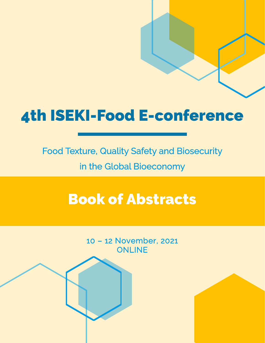# 4th ISEKI-Food E-conference

Food Texture, Quality Safety and Biosecurity in the Global Bioeconomy

# Book of Abstracts

10 – 12 November, 2021 **ONLINE**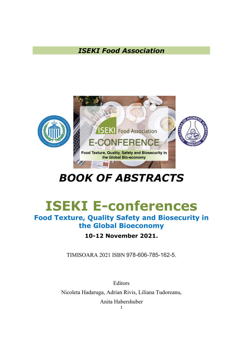### ISEKI Food Association



## BOOK OF ABSTRACTS

# ISEKI E-conferences

### Food Texture, Quality Safety and Biosecurity in the Global Bioeconomy

### 10-12 November 2021.

TIMISOARA 2021 ISBN 978-606-785-162-5.

**Editors** 

Nicoleta Hadaruga, Adrian Rivis, Liliana Tudoreanu,

Anita Habershuber

1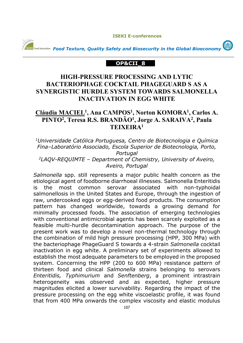**ISEKI E-conferences** 

GD



*<u>ISEKI</u> Food Association Food Texture, Quality Safety and Biosecurity in the Global Bioeconomy* 

#### **OP&CII\_8**

#### **HIGH-PRESSURE PROCESSING AND LYTIC BACTERIOPHAGE COCKTAIL PHAGEGUARD S AS A SYNERGISTIC HURDLE SYSTEM TOWARDS SALMONELLA INACTIVATION IN EGG WHITE**

#### **Cláudia MACIEL<sup>1</sup> , Ana CAMPOS<sup>1</sup> , Norton KOMORA<sup>1</sup> , Carlos A. PINTO<sup>2</sup> , Teresa R.S. BRANDÃO<sup>1</sup> , Jorge A. SARAIVA<sup>2</sup> , Paula TEIXEIRA<sup>1</sup>**

*<sup>1</sup>Universidade Católica Portuguesa, Centro de Biotecnologia e Química Fina–Laboratório Associado, Escola Superior de Biotecnologia, Porto, Portugal <sup>2</sup>LAQV-REQUIMTE – Department of Chemistry, University of Aveiro,* 

*Aveiro, Portugal*

*Salmonella* spp. still represents a major public health concern as the etiological agent of foodborne diarrhoeal illnesses. Salmonella Enteritidis is the most common serovar associated with non-typhoidal salmonellosis in the United States and Europe, through the ingestion of raw, undercooked eggs or egg-derived food products. The consumption pattern has changed worldwide, towards a growing demand for minimally processed foods. The association of emerging technologies with conventional antimicrobial agents has been scarcely exploited as a feasible multi-hurdle decontamination approach. The purpose of the present work was to develop a novel non-thermal technology through the combination of mild high pressure processing (HPP, 300 MPa) with the bacteriophage PhageGuard S towards a 4-strain *Salmonella* cocktail inactivation in egg white. A preliminary set of experiments allowed to establish the most adequate parameters to be employed in the proposed system. Concerning the HPP (200 to 600 MPa) resistance pattern of thirteen food and clinical *Salmonella* strains belonging to serovars *Enteritidis, Typhimurium* and *Senftenberg*, a prominent intrastrain heterogeneity was observed and as expected, higher pressure magnitudes elicited a lower survivability. Regarding the impact of the pressure processing on the egg white viscoelastic profile, it was found that from 400 MPa onwards the complex viscosity and elastic modulus